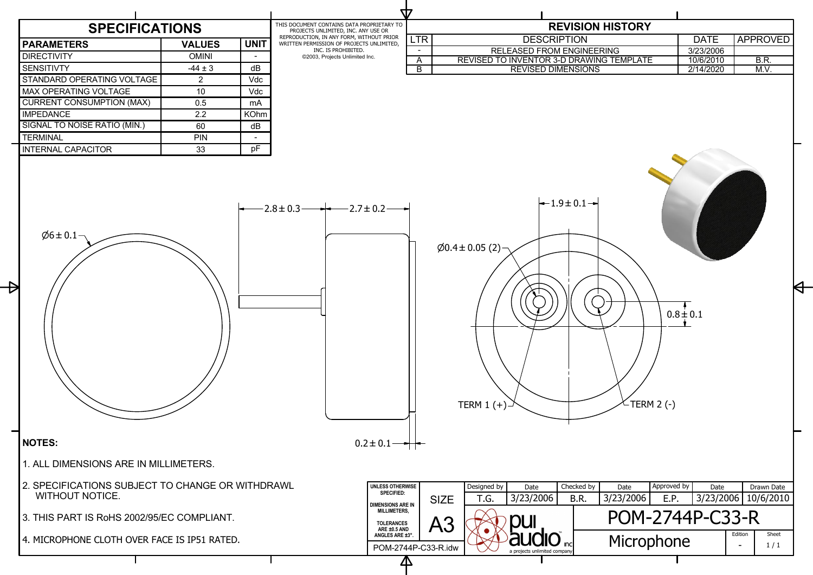|                | <b>REVISION HISTORY</b>                                                                                                   |                   |                         |
|----------------|---------------------------------------------------------------------------------------------------------------------------|-------------------|-------------------------|
| LTR            | <b>DESCRIPTION</b>                                                                                                        | <b>DATE</b>       | <b>APPROVED</b>         |
|                | <b>RELEASED FROM ENGINEERING</b>                                                                                          | 3/23/2006         |                         |
| A              | REVISED TO INVENTOR 3-D DRAWING TEMPLATE                                                                                  | 10/6/2010         | <b>B.R.</b>             |
| $\overline{B}$ | <b>REVISED DIMENSIONS</b>                                                                                                 | 2/14/2020         | M.V.                    |
|                | $-1.9$ $\pm$ 0.1 $-$<br>$\varnothing$ 0.4 ± 0.05 (2)<br><b>TERM 2 (-)</b><br>TERM $1 (+)$                                 | $0.8 \pm 0.1$     |                         |
| SE<br>IN       | Approved by<br>Designed by<br>Checked by<br>Date<br>Date<br>3/23/2006<br>3/23/2006<br>T.G.<br>B.R.<br>E.P.<br><b>SIZE</b> | Date<br>3/23/2006 | Drawn Date<br>10/6/2010 |
|                | POM-2744P-C33-R<br>A3                                                                                                     |                   |                         |
|                | Microphone<br>nc<br>IP-C33-R.idw<br>a projects unlimited company                                                          |                   | Sheet<br>Edition<br>1/1 |
|                |                                                                                                                           |                   |                         |

## **SPECIFICATIONS**

| <b>PARAMETERS</b>                | <b>VALUES</b> | <b>UNIT</b> |
|----------------------------------|---------------|-------------|
| <b>DIRECTIVITY</b>               | <b>OMINI</b>  |             |
| <b>SENSITIVTY</b>                | $-44 \pm 3$   | dB          |
| STANDARD OPERATING VOLTAGE       | 2             | Vdc         |
| <b>MAX OPERATING VOLTAGE</b>     | 10            | <b>Vdc</b>  |
| <b>CURRENT CONSUMPTION (MAX)</b> | 0.5           | mA          |
| <b>IMPEDANCE</b>                 | 2.2           | <b>KOhm</b> |
| SIGNAL TO NOISE RATIO (MIN.)     | 60            | dB          |
| <b>TERMINAL</b>                  | <b>PIN</b>    |             |
| <b>INTERNAL CAPACITOR</b>        | 33            |             |



THIS DOCUMENT CONTAINS DATA PROPRIETARY TO PROJECTS UNLIMITED, INC. ANY USE OR REPRODUCTION, IN ANY FORM, WITHOUT PRIOR WRITTEN PERMISSION OF PROJECTS UNLIMITED, INC. IS PROHIBITED. 2003, Projects Unlimited Inc.

W

 $\Delta$